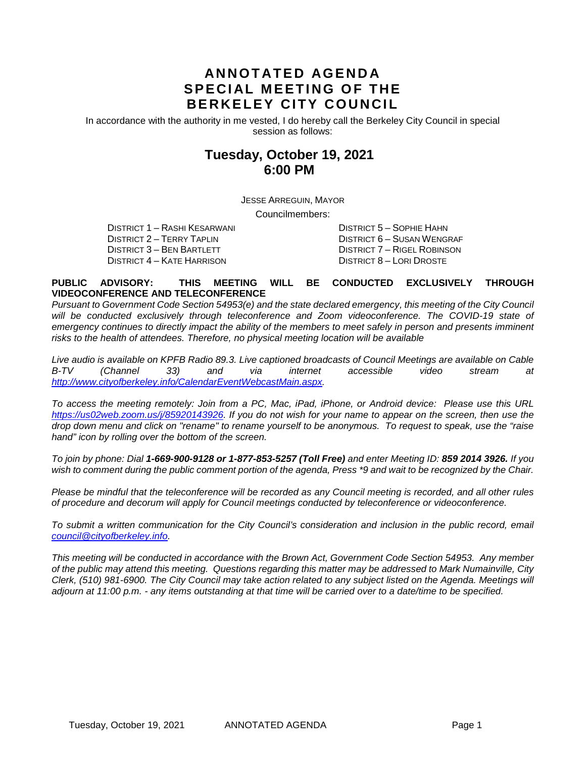# **ANNOTATED AGENDA SPECIAL MEETING OF THE BERKELEY CITY COUNCIL**

In accordance with the authority in me vested, I do hereby call the Berkeley City Council in special session as follows:

# **Tuesday, October 19, 2021 6:00 PM**

JESSE ARREGUIN, MAYOR

Councilmembers:

DISTRICT 1 – RASHI KESARWANI DISTRICT 5 – SOPHIE HAHN DISTRICT 3 – BEN BARTLETT DISTRICT 7 – RIGEL ROBINSON DISTRICT 4 – KATE HARRISON DISTRICT 8 – LORI DROSTE

DISTRICT 6 – SUSAN WENGRAF

#### **PUBLIC ADVISORY: THIS MEETING WILL BE CONDUCTED EXCLUSIVELY THROUGH VIDEOCONFERENCE AND TELECONFERENCE**

*Pursuant to Government Code Section 54953(e) and the state declared emergency, this meeting of the City Council* will be conducted exclusively through teleconference and Zoom videoconference. The COVID-19 state of emergency continues to directly impact the ability of the members to meet safely in person and presents imminent *risks to the health of attendees. Therefore, no physical meeting location will be available*

*Live audio is available on KPFB Radio 89.3. Live captioned broadcasts of Council Meetings are available on Cable B-TV (Channel 33) and via internet accessible video stream at [http://www.cityofberkeley.info/CalendarEventWebcastMain.aspx.](http://www.cityofberkeley.info/CalendarEventWebcastMain.aspx)*

*To access the meeting remotely: Join from a PC, Mac, iPad, iPhone, or Android device: Please use this URL [https://us02web.zoom.us/j/85920143926.](https://us02web.zoom.us/j/85920143926) If you do not wish for your name to appear on the screen, then use the drop down menu and click on "rename" to rename yourself to be anonymous. To request to speak, use the "raise hand" icon by rolling over the bottom of the screen.* 

*To join by phone: Dial 1-669-900-9128 or 1-877-853-5257 (Toll Free) and enter Meeting ID: 859 2014 3926. If you*  wish to comment during the public comment portion of the agenda, Press \*9 and wait to be recognized by the Chair.

*Please be mindful that the teleconference will be recorded as any Council meeting is recorded, and all other rules of procedure and decorum will apply for Council meetings conducted by teleconference or videoconference.*

*To submit a written communication for the City Council's consideration and inclusion in the public record, email [council@cityofberkeley.info.](mailto:council@cityofberkeley.info)*

*This meeting will be conducted in accordance with the Brown Act, Government Code Section 54953. Any member of the public may attend this meeting. Questions regarding this matter may be addressed to Mark Numainville, City Clerk, (510) 981-6900. The City Council may take action related to any subject listed on the Agenda. Meetings will adjourn at 11:00 p.m. - any items outstanding at that time will be carried over to a date/time to be specified.*